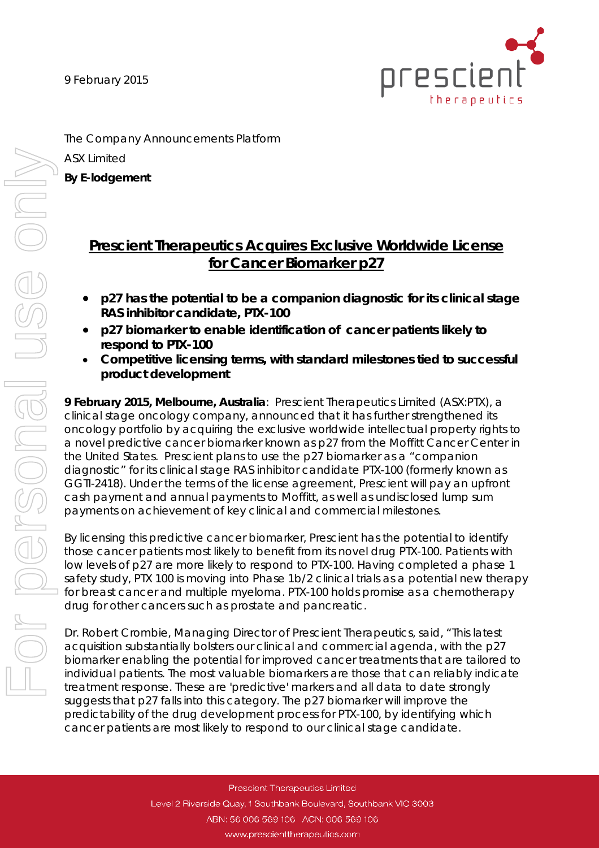9 February 2015



The Company Announcements Platform ASX Limited

**By E-lodgement**

# **Prescient Therapeutics Acquires Exclusive Worldwide License for Cancer Biomarker p27**

- *p27 has the potential to be a companion diagnostic for its clinical stage RAS inhibitor candidate, PTX-100*
- *p27 biomarker to enable identification of cancer patients likely to respond to PTX-100*
- *Competitive licensing terms, with standard milestones tied to successful product development*

**9 February 2015, Melbourne, Australia**: Prescient Therapeutics Limited (ASX:PTX), a clinical stage oncology company, announced that it has further strengthened its oncology portfolio by acquiring the exclusive worldwide intellectual property rights to a novel predictive cancer biomarker known as p27 from the Moffitt Cancer Center in the United States. Prescient plans to use the p27 biomarker as a "companion diagnostic" for its clinical stage RAS inhibitor candidate PTX-100 (formerly known as GGTI-2418). Under the terms of the license agreement, Prescient will pay an upfront cash payment and annual payments to Moffitt, as well as undisclosed lump sum payments on achievement of key clinical and commercial milestones.

By licensing this predictive cancer biomarker, Prescient has the potential to identify those cancer patients most likely to benefit from its novel drug PTX-100. Patients with low levels of p27 are more likely to respond to PTX-100. Having completed a phase 1 safety study, PTX 100 is moving into Phase 1b/2 clinical trials as a potential new therapy for breast cancer and multiple myeloma. PTX-100 holds promise as a chemotherapy drug for other cancers such as prostate and pancreatic.

Dr. Robert Crombie, Managing Director of Prescient Therapeutics, said, "This latest acquisition substantially bolsters our clinical and commercial agenda, with the p27 biomarker enabling the potential for improved cancer treatments that are tailored to individual patients. The most valuable biomarkers are those that can reliably indicate treatment response. These are 'predictive' markers and all data to date strongly suggests that p27 falls into this category. The p27 biomarker will improve the predictability of the drug development process for PTX-100, by identifying which cancer patients are most likely to respond to our clinical stage candidate.

> Prescient Therapeutics Limited Level 2 Riverside Quay, 1 Southbank Boulevard, Southbank VIC 3003 ABN: 56 006 569 106 ACN: 006 569 106 www.prescienttherapeutics.com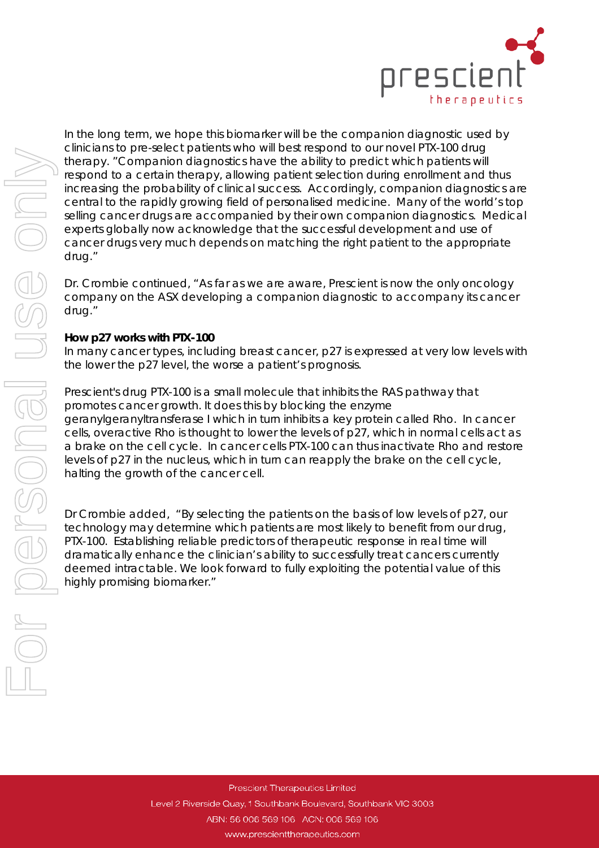

In the long term, we hope this biomarker will be the companion diagnostic used by clinicians to pre-select patients who will best respond to our novel PTX-100 drug therapy. "Companion diagnostics have the ability to predict which patients will respond to a certain therapy, allowing patient selection during enrollment and thus increasing the probability of clinical success. Accordingly, companion diagnostics are central to the rapidly growing field of personalised medicine. Many of the world's top selling cancer drugs are accompanied by their own companion diagnostics. Medical experts globally now acknowledge that the successful development and use of cancer drugs very much depends on matching the right patient to the appropriate drug."

Dr. Crombie continued, "As far as we are aware, Prescient is now the only oncology company on the ASX developing a companion diagnostic to accompany its cancer drug."

## **How p27 works with PTX-100**

In many cancer types, including breast cancer, p27 is expressed at very low levels with the lower the p27 level, the worse a patient's prognosis.

Prescient's drug PTX-100 is a small molecule that inhibits the RAS pathway that promotes cancer growth. It does this by blocking the enzyme geranylgeranyltransferase I which in turn inhibits a key protein called Rho. In cancer cells, overactive Rho is thought to lower the levels of p27, which in normal cells act as a brake on the cell cycle. In cancer cells PTX-100 can thus inactivate Rho and restore levels of p27 in the nucleus, which in turn can reapply the brake on the cell cycle, halting the growth of the cancer cell.

Dr Crombie added, "By selecting the patients on the basis of low levels of p27, our technology may determine which patients are most likely to benefit from our drug, PTX-100. Establishing reliable predictors of therapeutic response in real time will dramatically enhance the clinician's ability to successfully treat cancers currently deemed intractable. We look forward to fully exploiting the potential value of this highly promising biomarker."